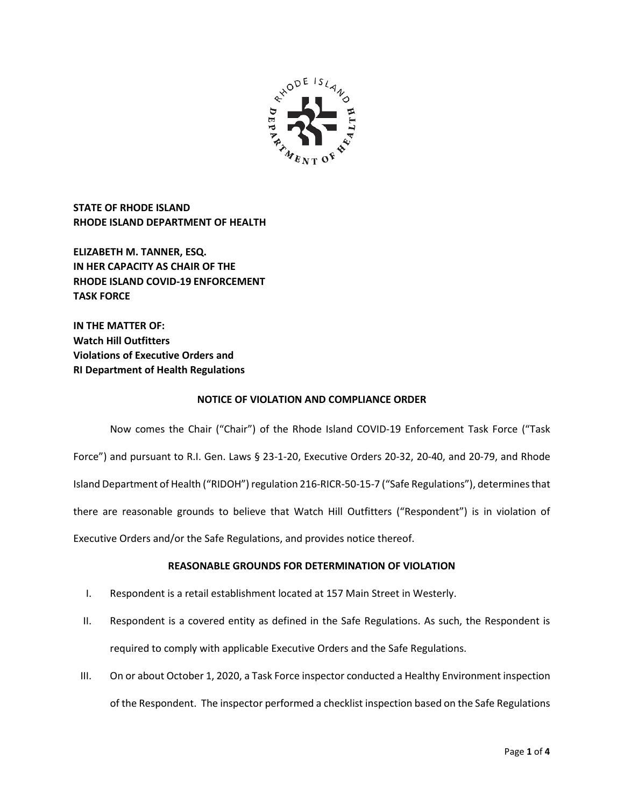

**STATE OF RHODE ISLAND RHODE ISLAND DEPARTMENT OF HEALTH**

**ELIZABETH M. TANNER, ESQ. IN HER CAPACITY AS CHAIR OF THE RHODE ISLAND COVID-19 ENFORCEMENT TASK FORCE** 

**IN THE MATTER OF: Watch Hill Outfitters Violations of Executive Orders and RI Department of Health Regulations**

### **NOTICE OF VIOLATION AND COMPLIANCE ORDER**

Now comes the Chair ("Chair") of the Rhode Island COVID-19 Enforcement Task Force ("Task Force") and pursuant to R.I. Gen. Laws § 23-1-20, Executive Orders 20-32, 20-40, and 20-79, and Rhode Island Department of Health ("RIDOH") regulation 216-RICR-50-15-7 ("Safe Regulations"), determines that there are reasonable grounds to believe that Watch Hill Outfitters ("Respondent") is in violation of Executive Orders and/or the Safe Regulations, and provides notice thereof.

## **REASONABLE GROUNDS FOR DETERMINATION OF VIOLATION**

- I. Respondent is a retail establishment located at 157 Main Street in Westerly.
- II. Respondent is a covered entity as defined in the Safe Regulations. As such, the Respondent is required to comply with applicable Executive Orders and the Safe Regulations.
- III. On or about October 1, 2020, a Task Force inspector conducted a Healthy Environment inspection of the Respondent. The inspector performed a checklist inspection based on the Safe Regulations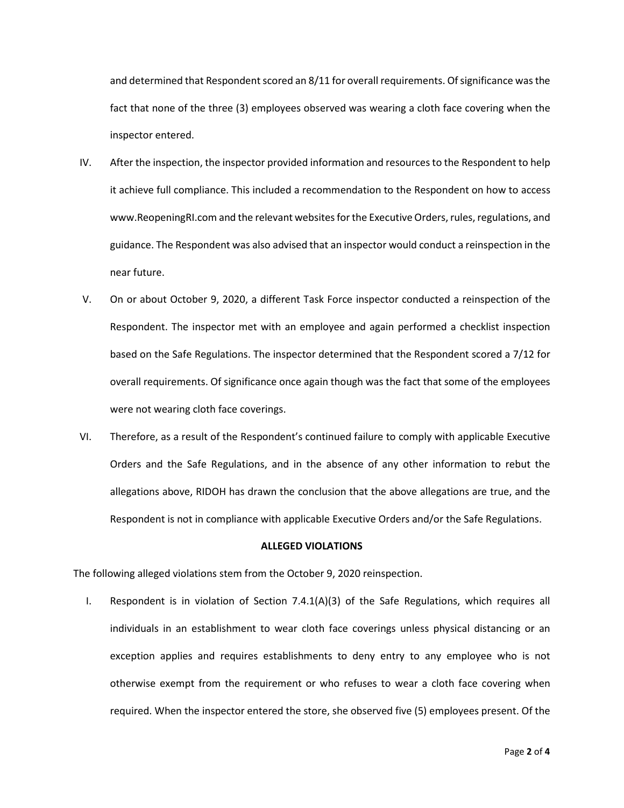and determined that Respondent scored an 8/11 for overall requirements. Of significance was the fact that none of the three (3) employees observed was wearing a cloth face covering when the inspector entered.

- IV. After the inspection, the inspector provided information and resources to the Respondent to help it achieve full compliance. This included a recommendation to the Respondent on how to access www.ReopeningRI.com and the relevant websites for the Executive Orders, rules, regulations, and guidance. The Respondent was also advised that an inspector would conduct a reinspection in the near future.
- V. On or about October 9, 2020, a different Task Force inspector conducted a reinspection of the Respondent. The inspector met with an employee and again performed a checklist inspection based on the Safe Regulations. The inspector determined that the Respondent scored a 7/12 for overall requirements. Of significance once again though was the fact that some of the employees were not wearing cloth face coverings.
- VI. Therefore, as a result of the Respondent's continued failure to comply with applicable Executive Orders and the Safe Regulations, and in the absence of any other information to rebut the allegations above, RIDOH has drawn the conclusion that the above allegations are true, and the Respondent is not in compliance with applicable Executive Orders and/or the Safe Regulations.

#### **ALLEGED VIOLATIONS**

The following alleged violations stem from the October 9, 2020 reinspection.

I. Respondent is in violation of Section 7.4.1(A)(3) of the Safe Regulations, which requires all individuals in an establishment to wear cloth face coverings unless physical distancing or an exception applies and requires establishments to deny entry to any employee who is not otherwise exempt from the requirement or who refuses to wear a cloth face covering when required. When the inspector entered the store, she observed five (5) employees present. Of the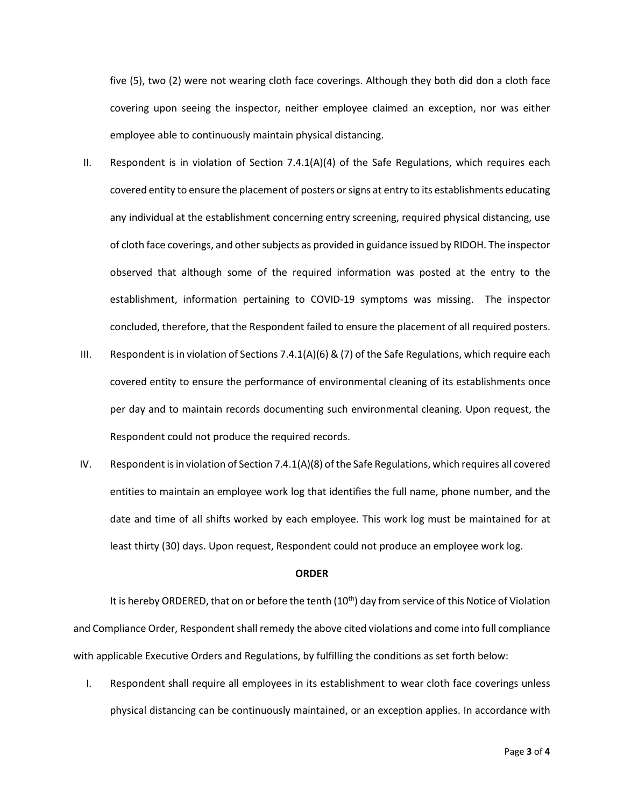five (5), two (2) were not wearing cloth face coverings. Although they both did don a cloth face covering upon seeing the inspector, neither employee claimed an exception, nor was either employee able to continuously maintain physical distancing.

- II. Respondent is in violation of Section 7.4.1(A)(4) of the Safe Regulations, which requires each covered entity to ensure the placement of posters or signs at entry to its establishments educating any individual at the establishment concerning entry screening, required physical distancing, use of cloth face coverings, and other subjects as provided in guidance issued by RIDOH. The inspector observed that although some of the required information was posted at the entry to the establishment, information pertaining to COVID-19 symptoms was missing. The inspector concluded, therefore, that the Respondent failed to ensure the placement of all required posters.
- III. Respondent is in violation of Sections 7.4.1(A)(6) & (7) of the Safe Regulations, which require each covered entity to ensure the performance of environmental cleaning of its establishments once per day and to maintain records documenting such environmental cleaning. Upon request, the Respondent could not produce the required records.
- IV. Respondent is in violation of Section 7.4.1(A)(8) of the Safe Regulations, which requires all covered entities to maintain an employee work log that identifies the full name, phone number, and the date and time of all shifts worked by each employee. This work log must be maintained for at least thirty (30) days. Upon request, Respondent could not produce an employee work log.

#### **ORDER**

It is hereby ORDERED, that on or before the tenth  $(10<sup>th</sup>)$  day from service of this Notice of Violation and Compliance Order, Respondent shall remedy the above cited violations and come into full compliance with applicable Executive Orders and Regulations, by fulfilling the conditions as set forth below:

I. Respondent shall require all employees in its establishment to wear cloth face coverings unless physical distancing can be continuously maintained, or an exception applies. In accordance with